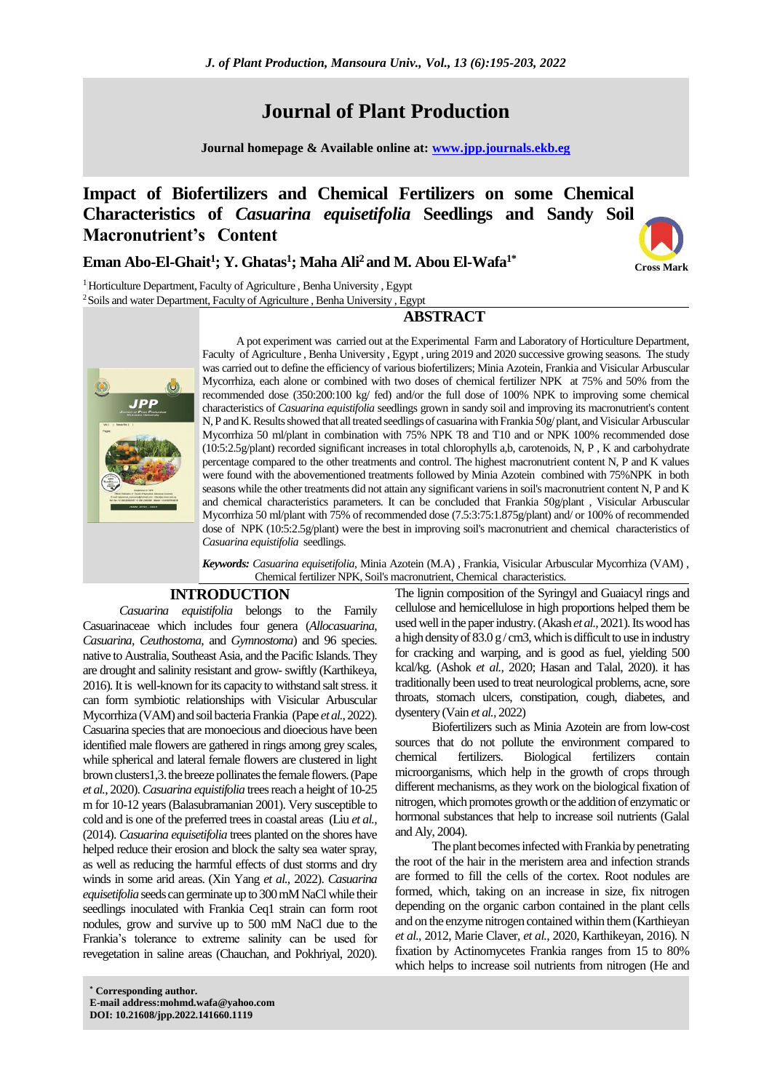# **Journal of Plant Production**

**Journal homepage & Available online at: [www.jpp.journals.ekb.eg](http://www.jpp.journals.ekb.eg/)**

# **Impact of Biofertilizers and Chemical Fertilizers on some Chemical Characteristics of** *Casuarina equisetifolia* **Seedlings and Sandy Soil Macronutrient's Content**

# **Eman Abo-El-Ghait<sup>1</sup> ; Y. Ghatas<sup>1</sup> ; Maha Ali<sup>2</sup> and M. Abou El-Wafa1\***



<sup>1</sup> Horticulture Department, Faculty of Agriculture, Benha University, Egypt <sup>2</sup> Soils and water Department, Faculty of Agriculture, Benha University, Egypt

**ABSTRACT**



A pot experiment was carried out at the Experimental Farm and Laboratory of Horticulture Department, Faculty of Agriculture , Benha University , Egypt , uring 2019 and 2020 successive growing seasons. The study was carried out to define the efficiency of various biofertilizers; Minia Azotein, Frankia and Visicular Arbuscular Mycorrhiza, each alone or combined with two doses of chemical fertilizer NPK at 75% and 50% from the recommended dose (350:200:100 kg/ fed) and/or the full dose of 100% NPK to improving some chemical characteristics of *Casuarina equistifolia* seedlings grown in sandy soil and improving its macronutrient's content N, P and K. Results showed that all treated seedlings of casuarina with Frankia 50g/ plant, and Visicular Arbuscular Mycorrhiza 50 ml/plant in combination with 75% NPK T8 and T10 and or NPK 100% recommended dose (10:5:2.5g/plant) recorded significant increases in total chlorophylls a,b, carotenoids, N, P , K and carbohydrate percentage compared to the other treatments and control. The highest macronutrient content N, P and K values were found with the abovementioned treatments followed by Minia Azotein combined with 75%NPK in both seasons while the other treatments did not attain any significant variens in soil's macronutrient content N, P and K and chemical characteristics parameters. It can be concluded that Frankia 50g/plant , Visicular Arbuscular Mycorrhiza 50 ml/plant with 75% of recommended dose (7.5:3:75:1.875g/plant) and/ or 100% of recommended dose of NPK (10:5:2.5g/plant) were the best in improving soil's macronutrient and chemical characteristics of *Casuarina equistifolia* seedlings.

*Keywords: Casuarina equisetifolia*, Minia Azotein (M.A) , Frankia, Visicular Arbuscular Mycorrhiza (VAM) , Chemical fertilizer NPK, Soil's macronutrient, Chemical characteristics.

### **INTRODUCTION**

*Casuarina equistifolia* belongs to the Family Casuarinaceae which includes four genera (*Allocasuarina, Casuarina, Ceuthostoma*, and *Gymnostoma*) and 96 species. native to Australia, Southeast Asia, and the Pacific Islands. They are drought and salinity resistant and grow-swiftly (Karthikeya, 2016).It is well-known for its capacity to withstand salt stress. it can form symbiotic relationships with Visicular Arbuscular Mycorrhiza (VAM) and soil bacteria Frankia (Pape *et al.,*2022). Casuarina species that are monoecious and dioecious have been identified male flowers are gathered in rings among grey scales, while spherical and lateral female flowers are clustered in light brownclusters1,3. the breeze pollinates the female flowers.(Pape *et al.,* 2020).*Casuarina equistifolia* trees reach a height of 10-25 m for 10-12 years(Balasubramanian 2001). Very susceptible to cold and is one of the preferred trees in coastal areas (Liu *et al.,* (2014). *Casuarina equisetifolia* trees planted on the shores have helped reduce their erosion and block the salty sea water spray, as well as reducing the harmful effects of dust storms and dry winds in some arid areas. [\(Xin Yang](https://www.tandfonline.com/author/Yang%2C+Xin) *et al.,* 2022). *Casuarina equisetifolia*seeds can germinate up to 300 mM NaCl while their seedlings inoculated with Frankia Ceq1 strain can form root nodules, grow and survive up to 500 mM NaCl due to the Frankia's tolerance to extreme salinity can be used for revegetation in saline areas (Chauchan, and Pokhriyal, 2020).

**\* Corresponding author. E-mail address:mohmd.wafa@yahoo.com DOI: 10.21608/jpp.2022.141660.1119**

The lignin composition of the Syringyl and Guaiacyl rings and cellulose and hemicellulose in high proportions helped them be used well in the paper industry. (Akash *et al.*, 2021). Its wood has a high density of  $83.0 \text{ g/cm}$ , which is difficult to use in industry for cracking and warping, and is good as fuel, yielding 500 kcal/kg. (Ashok *et al.,* 2020; [Hasan](https://www.iasj.net/iasj/search?query=au:%22Omaima%20Abdulsamad%20Hasan%22) and Talal, 2020). it has traditionally been used to treat neurological problems, acne, sore throats, stomach ulcers, constipation, cough, diabetes, and dysentery (Vain *et al.,* 2022)

Biofertilizers such as Minia Azotein are from low-cost sources that do not pollute the environment compared to chemical fertilizers. Biological fertilizers contain microorganisms, which help in the growth of crops through different mechanisms, as they work on the biological fixation of nitrogen, which promotes growth or the addition of enzymatic or hormonal substances that help to increase soil nutrients (Galal and Aly, 2004).

The plant becomes infected with Frankia by penetrating the root of the hair in the meristem area and infection strands are formed to fill the cells of the cortex. Root nodules are formed, which, taking on an increase in size, fix nitrogen depending on the organic carbon contained in the plant cells and on the enzyme nitrogen contained within them(Karthieyan *et al.,* 2012, Marie Claver, *et al.,* 2020, Karthikeyan, 2016). N fixation by Actinomycetes Frankia ranges from 15 to 80% which helps to increase soil nutrients from nitrogen (He and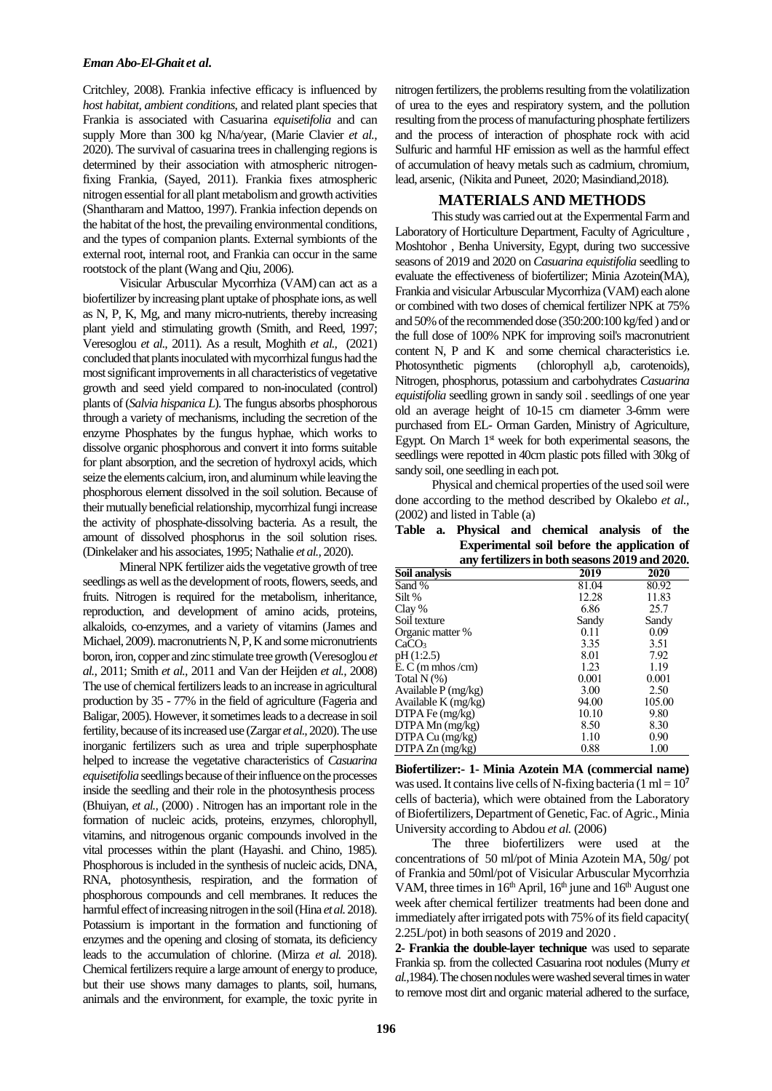Critchley, 2008). Frankia infective efficacy is influenced by *host habitat, ambient conditions*, and related plant species that Frankia is associated with Casuarina *equisetifolia* and can supply More than 300 kg N/ha/year, (Marie Clavier *et al.,* 2020). The survival of casuarina trees in challenging regions is determined by their association with atmospheric nitrogenfixing Frankia, (Sayed, 2011). Frankia fixes atmospheric nitrogen essential for all plant metabolism and growth activities (Shantharam and Mattoo, 1997). Frankia infection depends on the habitat of the host, the prevailing environmental conditions, and the types of companion plants. External symbionts of the external root, internal root, and Frankia can occur in the same rootstock of the plant (Wang and Qiu, 2006).

Visicular Arbuscular Mycorrhiza (VAM) can act as a biofertilizer by increasing plant uptake of phosphate ions, as well as N, P, K, Mg, and many micro-nutrients, thereby increasing plant yield and stimulating growth (Smith, and Reed, 1997; Veresoglou *et al.,* 2011). As a result, Moghith *et al.,* (2021) concluded that plants inoculated with mycorrhizal fungus had the most significant improvements in all characteristics of vegetative growth and seed yield compared to non-inoculated (control) plants of (*Salvia hispanica L*). The fungus absorbs phosphorous through a variety of mechanisms, including the secretion of the enzyme Phosphates by the fungus hyphae, which works to dissolve organic phosphorous and convert it into forms suitable for plant absorption, and the secretion of hydroxyl acids, which seize the elements calcium, iron, and aluminum while leaving the phosphorous element dissolved in the soil solution. Because of their mutually beneficial relationship, mycorrhizal fungi increase the activity of phosphate-dissolving bacteria. As a result, the amount of dissolved phosphorus in the soil solution rises. (Dinkelaker and his associates, 1995; Nathalie *et al.,* 2020).

Mineral NPK fertilizer aids the vegetative growth of tree seedlings as well as the development of roots, flowers, seeds, and fruits. Nitrogen is required for the metabolism, inheritance, reproduction, and development of amino acids, proteins, alkaloids, co-enzymes, and a variety of vitamins (James and Michael, 2009). macronutrients N, P, K and some micronutrients boron, iron, copper and zinc stimulate tree growth (Veresoglou *et al.,* 2011; Smith *et al.,* 2011 and Van der Heijden *et al.,* 2008) The use of chemical fertilizers leads to an increase in agricultural production by 35 - 77% in the field of agriculture (Fageria and Baligar, 2005). However, it sometimes leads to a decrease in soil fertility, because of its increased use (Zargar *et al.*, 2020). The use inorganic fertilizers such as urea and triple superphosphate helped to increase the vegetative characteristics of *Casuarina equisetifolia*seedlings because of their influence on the processes inside the seedling and their role in the photosynthesis process (Bhuiyan, et al., (2000). Nitrogen has an important role in the formation of nucleic acids, proteins, enzymes, chlorophyll, vitamins, and nitrogenous organic compounds involved in the vital processes within the plant (Hayashi. and Chino, 1985). Phosphorous is included in the synthesis of nucleic acids, DNA, RNA, photosynthesis, respiration, and the formation of phosphorous compounds and cell membranes. It reduces the harmful effect of increasing nitrogen in the soil[\(Hina](https://link.springer.com/chapter/10.1007/978-981-10-9044-8_7#auth-Hina-Malhotra) *et al.*2018). Potassium is important in the formation and functioning of enzymes and the opening and closing of stomata, its deficiency leads to the accumulation of chlorine. (Mirza *et al.* 2018). Chemical fertilizers require a large amount of energy to produce, but their use shows many damages to plants, soil, humans, animals and the environment, for example, the toxic pyrite in

nitrogen fertilizers, the problems resulting from the volatilization of urea to the eyes and respiratory system, and the pollution resulting fromthe process of manufacturing phosphate fertilizers and the process of interaction of phosphate rock with acid Sulfuric and harmful HF emission as well as the harmful effect of accumulation of heavy metals such as cadmium, chromium, lead, arsenic, (Nikita and Puneet, 2020; Masindiand,2018).

### **MATERIALS AND METHODS**

This study was carried out at the Expermental Farm and Laboratory of Horticulture Department, Faculty of Agriculture , Moshtohor , Benha University, Egypt, during two successive seasons of 2019 and 2020 on *Casuarina equistifolia* seedling to evaluate the effectiveness of biofertilizer; Minia Azotein(MA), Frankia and visicular Arbuscular Mycorrhiza (VAM) each alone or combined with two doses of chemical fertilizer NPK at 75% and 50% of the recommended dose (350:200:100 kg/fed ) and or the full dose of 100% NPK for improving soil's macronutrient content N, P and K and some chemical characteristics i.e. Photosynthetic pigments (chlorophyll a,b, carotenoids), Nitrogen, phosphorus, potassium and carbohydrates *Casuarina equistifolia* seedling grown in sandy soil . seedlings of one year old an average height of 10-15 cm diameter 3-6mm were purchased from EL- Orman Garden, Ministry of Agriculture, Egypt. On March  $1<sup>st</sup>$  week for both experimental seasons, the seedlings were repotted in 40cm plastic pots filled with 30kg of sandy soil, one seedling in each pot.

Physical and chemical properties of the used soil were done according to the method described by Okalebo *et al.,* (2002) and listed in Table (a)

**Table a. Physical and chemical analysis of the Experimental soil before the application of any fertilizers in both seasons 2019 and 2020.**

| any ierunzers in both seasons 2019 and 2020 |       |        |  |
|---------------------------------------------|-------|--------|--|
| Soil analysis                               | 2019  | 2020   |  |
| Sand %                                      | 81.04 | 80.92  |  |
| Silt %                                      | 12.28 | 11.83  |  |
| Clay %                                      | 6.86  | 25.7   |  |
| Soil texture                                | Sandy | Sandy  |  |
| Organic matter %                            | 0.11  | 0.09   |  |
| CaCO <sub>3</sub>                           | 3.35  | 3.51   |  |
| pH(1:2.5)                                   | 8.01  | 7.92   |  |
| $E. C (m m \text{m} \cos / \text{cm})$      | 1.23  | 1.19   |  |
| Total $N(\%)$                               | 0.001 | 0.001  |  |
| Available $P(mg/kg)$                        | 3.00  | 2.50   |  |
| Available K $(mg/kg)$                       | 94.00 | 105.00 |  |
| $DTPAFe$ (mg/kg)                            | 10.10 | 9.80   |  |
| $DTPAMn$ (mg/kg)                            | 8.50  | 8.30   |  |
| DTPA Cu (mg/kg)                             | 1.10  | 0.90   |  |
| $DTPAZn$ (mg/kg)                            | 0.88  | 1.00   |  |

**Biofertilizer:- 1- Minia Azotein MA (commercial name)** was used. It contains live cells of N-fixing bacteria  $(1 \text{ ml} = 10^7$ cells of bacteria), which were obtained from the Laboratory of Biofertilizers, Department of Genetic, Fac. of Agric., Minia University according to Abdou *et al.* (2006)

The three biofertilizers were used at the concentrations of 50 ml/pot of Minia Azotein MA, 50g/ pot of Frankia and 50ml/pot of Visicular Arbuscular Mycorrhzia VAM, three times in  $16<sup>th</sup>$  April,  $16<sup>th</sup>$  june and  $16<sup>th</sup>$  August one week after chemical fertilizer treatments had been done and immediately after irrigated pots with 75% of its field capacity( 2.25L/pot) in both seasons of 2019 and 2020 .

**2- Frankia the double-layer technique** was used to separate Frankia sp. from the collected Casuarina root nodules (Murry *et al.,*1984).The chosen nodules were washed several times in water to remove most dirt and organic material adhered to the surface,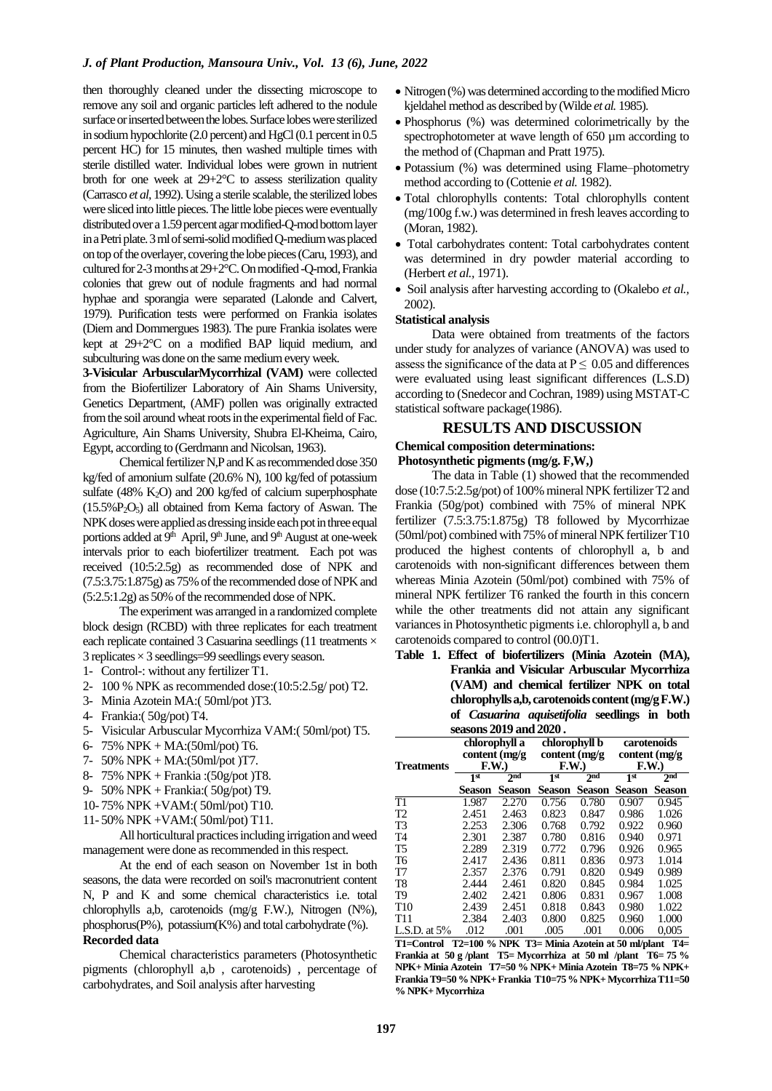#### *J. of Plant Production, Mansoura Univ., Vol. 13 (6), June, 2022*

then thoroughly cleaned under the dissecting microscope to remove any soil and organic particles left adhered to the nodule surface or inserted between the lobes. Surface lobes were sterilized in sodium hypochlorite (2.0 percent) and HgCl (0.1 percent in 0.5 percent HC) for 15 minutes, then washed multiple times with sterile distilled water. Individual lobes were grown in nutrient broth for one week at 29+2°C to assess sterilization quality (Carrasco *et al,* 1992). Using a sterile scalable, the sterilized lobes were sliced into little pieces. The little lobe pieces were eventually distributed over a 1.59 percent agar modified-Q-mod bottom layer in a Petriplate. 3 ml of semi-solid modified Q-medium was placed on top of the overlayer, covering the lobe pieces (Caru, 1993), and cultured for 2-3 months at 29+2°C. On modified -Q-mod, Frankia colonies that grew out of nodule fragments and had normal hyphae and sporangia were separated (Lalonde and Calvert, 1979). Purification tests were performed on Frankia isolates (Diem and Dommergues 1983). The pure Frankia isolates were kept at 29+2°C on a modified BAP liquid medium, and subculturing was done on the same medium every week.

**3-Visicular ArbuscularMycorrhizal (VAM)** were collected from the Biofertilizer Laboratory of Ain Shams University, Genetics Department, (AMF) pollen was originally extracted from the soil around wheat roots in the experimental field of Fac. Agriculture, Ain Shams University, Shubra El-Kheima, Cairo, Egypt, according to (Gerdmann and Nicolsan, 1963).

Chemical fertilizer N,P and K as recommended dose 350 kg/fed of amonium sulfate (20.6% N), 100 kg/fed of potassium sulfate  $(48\%$  K<sub>2</sub>O) and 200 kg/fed of calcium superphosphate  $(15.5\%P_2O_5)$  all obtained from Kema factory of Aswan. The NPK doses were applied as dressing inside each pot in three equal portions added at 9<sup>th</sup> April, 9<sup>th</sup> June, and 9<sup>th</sup> August at one-week intervals prior to each biofertilizer treatment. Each pot was received (10:5:2.5g) as recommended dose of NPK and (7.5:3.75:1.875g) as 75%of the recommended dose of NPK and (5:2.5:1.2g) as 50% of the recommended dose of NPK.

The experiment was arranged in a randomized complete block design (RCBD) with three replicates for each treatment each replicate contained 3 Casuarina seedlings (11 treatments  $\times$ 3 replicates  $\times$  3 seedlings=99 seedlings every season.

- 1- Control-: without any fertilizer T1.
- 2- 100 % NPK as recommended dose:(10:5:2.5g/ pot) T2.
- 3- Minia Azotein MA:( 50ml/pot )T3.
- 4- Frankia:( 50g/pot) T4.
- 5- Visicular Arbuscular Mycorrhiza VAM:( 50ml/pot) T5.
- 6- 75% NPK + MA:(50ml/pot) T6.
- 7- 50% NPK + MA:(50ml/pot )T7.
- 8- 75% NPK + Frankia :(50g/pot )T8.
- 9- 50% NPK + Frankia:( 50g/pot) T9.
- 10- 75% NPK +VAM:( 50ml/pot) T10.
- 11- 50% NPK +VAM:( 50ml/pot) T11.

All horticultural practices including irrigation and weed management were done as recommended in this respect.

At the end of each season on November 1st in both seasons, the data were recorded on soil's macronutrient content N, P and K and some chemical characteristics i.e. total chlorophylls a,b, carotenoids (mg/g F.W.), Nitrogen (N%), phosphorus(P%), potassium(K%) and total carbohydrate (%). **Recorded data**

Chemical characteristics parameters (Photosynthetic pigments (chlorophyll a,b , carotenoids) , percentage of carbohydrates, and Soil analysis after harvesting

- Nitrogen (%) was determined according to the modified Micro kjeldahel method as described by (Wilde *et al.* 1985).
- Phosphorus (%) was determined colorimetrically by the spectrophotometer at wave length of 650  $\mu$ m according to the method of (Chapman and Pratt 1975).
- Potassium (%) was determined using Flame–photometry method according to (Cottenie *et al.* 1982).
- Total chlorophylls contents: Total chlorophylls content (mg/100g f.w.) was determined in fresh leaves according to (Moran, 1982).
- Total carbohydrates content: Total carbohydrates content was determined in dry powder material according to (Herbert *et al.,* 1971).
- Soil analysis after harvesting according to (Okalebo *et al.,* 2002).

#### **Statistical analysis**

Data were obtained from treatments of the factors under study for analyzes of variance (ANOVA) was used to assess the significance of the data at  $P \leq 0.05$  and differences were evaluated using least significant differences (L.S.D) according to (Snedecor and Cochran, 1989) using MSTAT-C statistical software package(1986).

#### **RESULTS AND DISCUSSION**

#### **Chemical composition determinations: Photosynthetic pigments (mg/g. F,W,)**

The data in Table (1) showed that the recommended dose (10:7.5:2.5g/pot) of 100% mineral NPK fertilizer T2 and Frankia (50g/pot) combined with 75% of mineral NPK fertilizer (7.5:3.75:1.875g) T8 followed by Mycorrhizae (50ml/pot) combined with 75% of mineral NPK fertilizer T10 produced the highest contents of chlorophyll a, b and carotenoids with non-significant differences between them whereas Minia Azotein (50ml/pot) combined with 75% of mineral NPK fertilizer T6 ranked the fourth in this concern while the other treatments did not attain any significant variances in Photosynthetic pigments i.e. chlorophyll a, b and carotenoids compared to control (00.0)T1.

## **Table 1. Effect of biofertilizers (Minia Azotein (MA), Frankia and Visicular Arbuscular Mycorrhiza (VAM) and chemical fertilizer NPK on total chlorophylls a,b, carotenoids content (mg/g F.W.) of** *Casuarina aquisetifolia* **seedlings in both seasons 2019 and 2020 .**

|                     | chlorophyll a<br>content $(mg/g)$              |               | chlorophyll b<br>content $(mg/g)$          |               | carotenoids<br>content (mg/g)              |               |
|---------------------|------------------------------------------------|---------------|--------------------------------------------|---------------|--------------------------------------------|---------------|
| Treatments          | F.W.<br>2 <sub>nd</sub><br>$1^{\overline{st}}$ |               | F.W.<br>2 <sub>nd</sub><br>1 <sup>st</sup> |               | F.W.<br>2 <sub>nd</sub><br>1 <sup>st</sup> |               |
|                     | Season                                         | <b>Season</b> | <b>Season</b>                              | <b>Season</b> | <b>Season</b>                              | <b>Season</b> |
| $\overline{\rm T1}$ | 1.987                                          | 2.270         | 0.756                                      | 0.780         | 0.907                                      | 0.945         |
| T2                  | 2.451                                          | 2.463         | 0.823                                      | 0.847         | 0.986                                      | 1.026         |
| T3                  | 2.253                                          | 2.306         | 0.768                                      | 0.792         | 0.922                                      | 0.960         |
| T4                  | 2.301                                          | 2.387         | 0.780                                      | 0.816         | 0.940                                      | 0.971         |
| Т5                  | 2.289                                          | 2.319         | 0.772                                      | 0.796         | 0.926                                      | 0.965         |
| T6                  | 2.417                                          | 2.436         | 0.811                                      | 0.836         | 0.973                                      | 1.014         |
| T7                  | 2.357                                          | 2.376         | 0.791                                      | 0.820         | 0.949                                      | 0.989         |
| T8                  | 2.444                                          | 2.461         | 0.820                                      | 0.845         | 0.984                                      | 1.025         |
| Т9                  | 2.402                                          | 2.421         | 0.806                                      | 0.831         | 0.967                                      | 1.008         |
| T10                 | 2.439                                          | 2.451         | 0.818                                      | 0.843         | 0.980                                      | 1.022         |
| T11                 | 2.384                                          | 2.403         | 0.800                                      | 0.825         | 0.960                                      | 1.000         |
| L.S.D. at $5%$      | .012                                           | .001          | .005                                       | .001          | 0.006                                      | 0,005         |

**T1=Control T2=100 % NPK T3= Minia Azotein at 50 ml/plant T4= Frankia at 50 g /plant T5= Mycorrhiza at 50 ml /plant T6= 75 % NPK+ Minia Azotein T7=50 % NPK+ Minia Azotein T8=75 % NPK+ FrankiaT9=50 % NPK+ Frankia T10=75 % NPK+ Mycorrhiza T11=50 % NPK+ Mycorrhiza**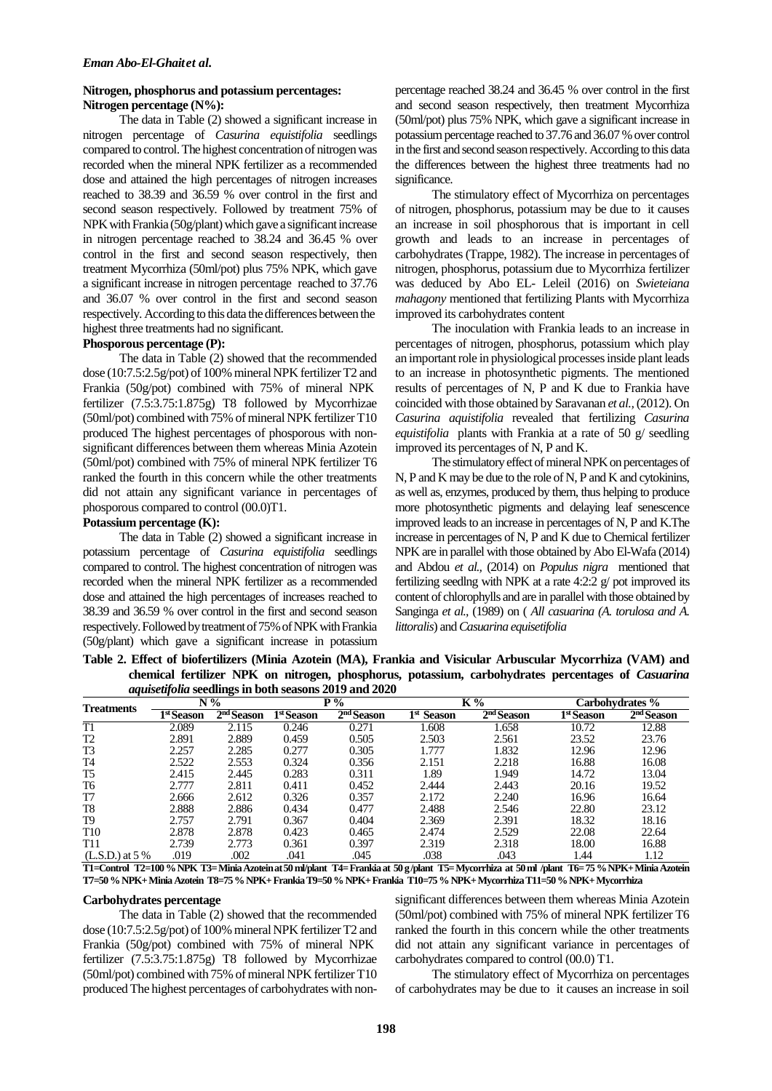## **Nitrogen, phosphorus and potassium percentages: Nitrogen percentage (N%):**

The data in Table (2) showed a significant increase in nitrogen percentage of *Casurina equistifolia* seedlings compared to control. The highest concentrationof nitrogen was recorded when the mineral NPK fertilizer as a recommended dose and attained the high percentages of nitrogen increases reached to 38.39 and 36.59 % over control in the first and second season respectively. Followed by treatment 75% of NPK with Frankia (50g/plant) which gave a significant increase in nitrogen percentage reached to 38.24 and 36.45 % over control in the first and second season respectively, then treatment Mycorrhiza (50ml/pot) plus 75% NPK, which gave a significant increase in nitrogen percentage reached to 37.76 and 36.07 % over control in the first and second season respectively. According to this data the differences between the highest three treatments had no significant.

#### **Phosporous percentage (P):**

The data in Table (2) showed that the recommended dose (10:7.5:2.5g/pot) of 100% mineral NPK fertilizer T2 and Frankia (50g/pot) combined with 75% of mineral NPK fertilizer (7.5:3.75:1.875g) T8 followed by Mycorrhizae (50ml/pot) combined with 75% of mineral NPK fertilizer T10 produced The highest percentages of phosporous with nonsignificant differences between them whereas Minia Azotein (50ml/pot) combined with 75% of mineral NPK fertilizer T6 ranked the fourth in this concern while the other treatments did not attain any significant variance in percentages of phosporous compared to control (00.0)T1.

#### **Potassium percentage (K):**

The data in Table (2) showed a significant increase in potassium percentage of *Casurina equistifolia* seedlings compared to control. The highest concentration of nitrogen was recorded when the mineral NPK fertilizer as a recommended dose and attained the high percentages of increases reached to 38.39 and 36.59 % over control in the first and second season respectively. Followed by treatment of 75% of NPK with Frankia (50g/plant) which gave a significant increase in potassium percentage reached 38.24 and 36.45 % over control in the first and second season respectively, then treatment Mycorrhiza (50ml/pot) plus 75% NPK, which gave a significant increase in potassiumpercentage reached to 37.76 and 36.07 % over control in the first and second season respectively. According to this data the differences between the highest three treatments had no significance.

The stimulatory effect of Mycorrhiza on percentages of nitrogen, phosphorus, potassium may be due to it causes an increase in soil phosphorous that is important in cell growth and leads to an increase in percentages of carbohydrates (Trappe, 1982). The increase in percentages of nitrogen, phosphorus, potassium due to Mycorrhiza fertilizer was deduced by Abo EL- Leleil (2016) on *Swieteiana mahagony* mentioned that fertilizing Plants with Mycorrhiza improved its carbohydrates content

The inoculation with Frankia leads to an increase in percentages of nitrogen, phosphorus, potassium which play an important role in physiological processes inside plant leads to an increase in photosynthetic pigments. The mentioned results of percentages of N, P and K due to Frankia have coincided with those obtained by Saravanan *et al.,*(2012). On *Casurina aquistifolia* revealed that fertilizing *Casurina equistifolia* plants with Frankia at a rate of 50 g/ seedling improved its percentages of N, P and K.

The stimulatory effect of mineral NPK on percentages of N, P and K may be due to the role of N, P and K and cytokinins, as well as, enzymes, produced by them, thus helping to produce more photosynthetic pigments and delaying leaf senescence improved leads to an increase in percentages of N, P and K.The increase in percentages of N, P and K due to Chemical fertilizer NPK are in parallel with those obtained by Abo El-Wafa (2014) and Abdou *et al.,* (2014) on *Populus nigra* mentioned that fertilizing seedlng with NPK at a rate 4:2:2 g/ pot improved its content of chlorophylls and are in parallel with those obtained by Sanginga *et al.,* (1989) on ( *All casuarina (A. torulosa and A. littoralis*) and *Casuarina equisetifolia*

**Table 2. Effect of biofertilizers (Minia Azotein (MA), Frankia and Visicular Arbuscular Mycorrhiza (VAM) and chemical fertilizer NPK on nitrogen, phosphorus, potassium, carbohydrates percentages of** *Casuarina aquisetifolia* **seedlings in both seasons 2019 and 2020**

| <b>Treatments</b> | $N\%$      |                        | $P\%$                  |                        | K%                     |                        | Carbohydrates %        |                        |
|-------------------|------------|------------------------|------------------------|------------------------|------------------------|------------------------|------------------------|------------------------|
|                   | 1st Season | 2 <sup>nd</sup> Season | 1 <sup>st</sup> Season | 2 <sup>nd</sup> Season | 1 <sup>st</sup> Season | 2 <sup>nd</sup> Season | 1 <sup>st</sup> Season | 2 <sup>nd</sup> Season |
| T1                | 2.089      | 2.115                  | 0.246                  | 0.271                  | 1.608                  | 1.658                  | 10.72                  | 12.88                  |
| T2                | 2.891      | 2.889                  | 0.459                  | 0.505                  | 2.503                  | 2.561                  | 23.52                  | 23.76                  |
| T <sub>3</sub>    | 2.257      | 2.285                  | 0.277                  | 0.305                  | 1.777                  | 1.832                  | 12.96                  | 12.96                  |
| T4                | 2.522      | 2.553                  | 0.324                  | 0.356                  | 2.151                  | 2.218                  | 16.88                  | 16.08                  |
| T <sub>5</sub>    | 2.415      | 2.445                  | 0.283                  | 0.311                  | 1.89                   | 1.949                  | 14.72                  | 13.04                  |
| T6                | 2.777      | 2.811                  | 0.411                  | 0.452                  | 2.444                  | 2.443                  | 20.16                  | 19.52                  |
| T7                | 2.666      | 2.612                  | 0.326                  | 0.357                  | 2.172                  | 2.240                  | 16.96                  | 16.64                  |
| T8                | 2.888      | 2.886                  | 0.434                  | 0.477                  | 2.488                  | 2.546                  | 22.80                  | 23.12                  |
| T9                | 2.757      | 2.791                  | 0.367                  | 0.404                  | 2.369                  | 2.391                  | 18.32                  | 18.16                  |
| T <sub>10</sub>   | 2.878      | 2.878                  | 0.423                  | 0.465                  | 2.474                  | 2.529                  | 22.08                  | 22.64                  |
| T11               | 2.739      | 2.773                  | 0.361                  | 0.397                  | 2.319                  | 2.318                  | 18.00                  | 16.88                  |
| $(L.S.D.)$ at 5 % | .019       | .002                   | .041                   | .045                   | .038                   | .043                   | 1.44                   | 1.12                   |

**T1=Control T2=100 % NPK T3= Minia Azotein at 50 ml/plant T4= Frankiaat 50 g /plant T5= Mycorrhiza at 50 ml /plant T6= 75 % NPK+ Minia Azotein T7=50 % NPK+ Minia Azotein T8=75 % NPK+ FrankiaT9=50 % NPK+ Frankia T10=75 % NPK+ Mycorrhiza T11=50 % NPK+ Mycorrhiza**

#### **Carbohydrates percentage**

The data in Table (2) showed that the recommended dose (10:7.5:2.5g/pot) of 100% mineral NPK fertilizer T2 and Frankia (50g/pot) combined with 75% of mineral NPK fertilizer (7.5:3.75:1.875g) T8 followed by Mycorrhizae (50ml/pot) combined with 75% of mineral NPK fertilizer T10 produced The highest percentages of carbohydrates with non-

significant differences between them whereas Minia Azotein (50ml/pot) combined with 75% of mineral NPK fertilizer T6 ranked the fourth in this concern while the other treatments did not attain any significant variance in percentages of carbohydrates compared to control (00.0) T1.

The stimulatory effect of Mycorrhiza on percentages of carbohydrates may be due to it causes an increase in soil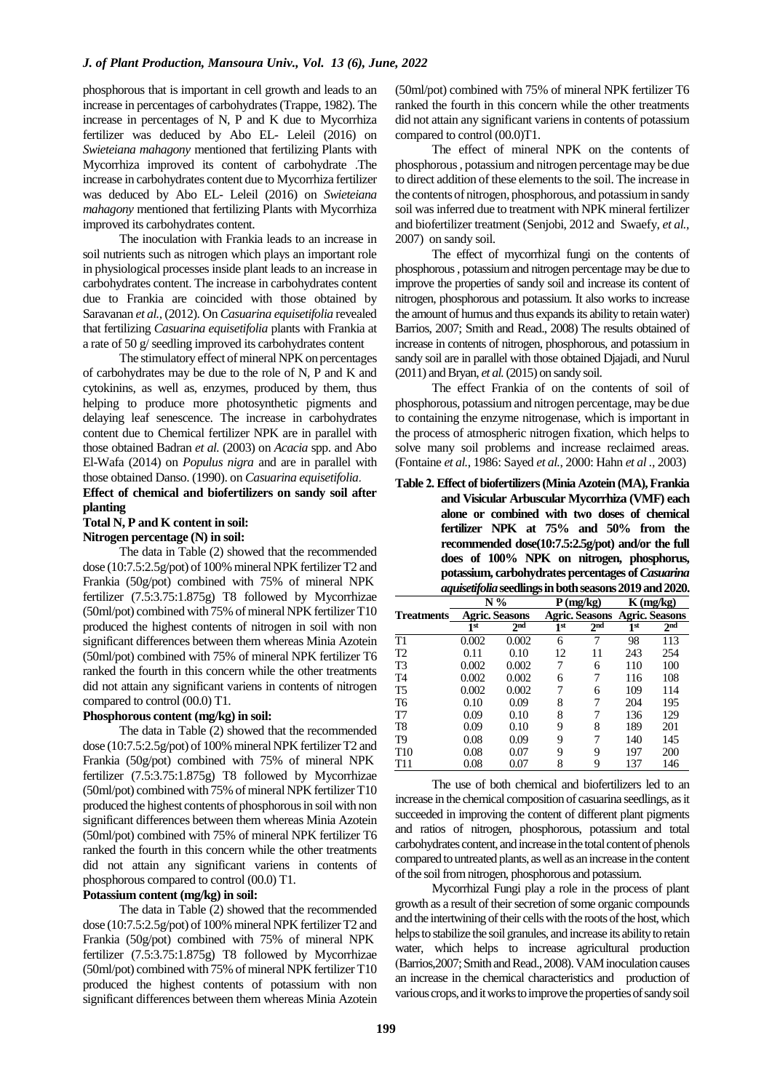phosphorous that is important in cell growth and leads to an increase in percentages of carbohydrates(Trappe, 1982). The increase in percentages of N, P and K due to Mycorrhiza fertilizer was deduced by Abo EL- Leleil (2016) on *Swieteiana mahagony* mentioned that fertilizing Plants with Mycorrhiza improved its content of carbohydrate .The increase in carbohydrates content due to Mycorrhiza fertilizer was deduced by Abo EL- Leleil (2016) on *Swieteiana mahagony* mentioned that fertilizing Plants with Mycorrhiza improved its carbohydrates content.

The inoculation with Frankia leads to an increase in soil nutrients such as nitrogen which plays an important role in physiological processes inside plant leads to an increase in carbohydrates content. The increase in carbohydrates content due to Frankia are coincided with those obtained by Saravanan *et al.,* (2012). On *Casuarina equisetifolia* revealed that fertilizing *Casuarina equisetifolia* plants with Frankia at a rate of 50 g/ seedling improved its carbohydrates content

The stimulatory effect of mineral NPK on percentages of carbohydrates may be due to the role of N, P and K and cytokinins, as well as, enzymes, produced by them, thus helping to produce more photosynthetic pigments and delaying leaf senescence. The increase in carbohydrates content due to Chemical fertilizer NPK are in parallel with those obtained Badran *et al.* (2003) on *Acacia* spp. and Abo El-Wafa (2014) on *Populus nigra* and are in parallel with those obtained Danso. (1990). on *Casuarina equisetifolia*.

### **Effect of chemical and biofertilizers on sandy soil after planting**

## **Total N, P and K content in soil:**

## **Nitrogen percentage (N) in soil:**

The data in Table (2) showed that the recommended dose (10:7.5:2.5g/pot) of 100% mineral NPK fertilizer T2 and Frankia (50g/pot) combined with 75% of mineral NPK fertilizer (7.5:3.75:1.875g) T8 followed by Mycorrhizae (50ml/pot) combined with 75% of mineral NPK fertilizer T10 produced the highest contents of nitrogen in soil with non significant differences between them whereas Minia Azotein (50ml/pot) combined with 75% of mineral NPK fertilizer T6 ranked the fourth in this concern while the other treatments did not attain any significant variens in contents of nitrogen compared to control (00.0) T1.

#### **Phosphorous content (mg/kg) in soil:**

The data in Table (2) showed that the recommended dose (10:7.5:2.5g/pot) of 100% mineral NPK fertilizer T2 and Frankia (50g/pot) combined with 75% of mineral NPK fertilizer (7.5:3.75:1.875g) T8 followed by Mycorrhizae (50ml/pot) combined with 75% of mineral NPK fertilizer T10 produced the highest contents of phosphorous in soil with non significant differences between them whereas Minia Azotein (50ml/pot) combined with 75% of mineral NPK fertilizer T6 ranked the fourth in this concern while the other treatments did not attain any significant variens in contents of phosphorous compared to control (00.0) T1.

#### **Potassium content (mg/kg) in soil:**

The data in Table (2) showed that the recommended dose (10:7.5:2.5g/pot) of 100% mineral NPK fertilizer T2 and Frankia (50g/pot) combined with 75% of mineral NPK fertilizer (7.5:3.75:1.875g) T8 followed by Mycorrhizae (50ml/pot) combined with 75% of mineral NPK fertilizer T10 produced the highest contents of potassium with non significant differences between them whereas Minia Azotein

(50ml/pot) combined with 75% of mineral NPK fertilizer T6 ranked the fourth in this concern while the other treatments did not attain any significant variens in contents of potassium compared to control (00.0)T1.

The effect of mineral NPK on the contents of phosphorous , potassium and nitrogen percentage may be due to direct addition of these elements to the soil. The increase in the contents of nitrogen, phosphorous, and potassium in sandy soil was inferred due to treatment with NPK mineral fertilizer and biofertilizer treatment (Senjobi, 2012 and Swaefy, *et al.,* 2007) on sandy soil.

The effect of mycorrhizal fungi on the contents of phosphorous , potassium and nitrogen percentage may be due to improve the properties of sandy soil and increase its content of nitrogen, phosphorous and potassium. It also works to increase the amount of humus and thus expands its ability to retain water) Barrios, 2007; Smith and Read., 2008) The results obtained of increase in contents of nitrogen, phosphorous, and potassium in sandy soil are in parallel with those obtained Djajadi, and Nurul (2011) and Bryan, *et al.*(2015) on sandy soil.

The effect Frankia of on the contents of soil of phosphorous, potassium and nitrogen percentage, may be due to containing the enzyme nitrogenase, which is important in the process of atmospheric nitrogen fixation*,* which helps to solve many soil problems and increase reclaimed areas. (Fontaine *et al.*, 1986: Sayed *et al.*, 2000: Hahn *et al .,* 2003)

**Table 2.Effect of biofertilizers (Minia Azotein (MA),Frankia and Visicular Arbuscular Mycorrhiza (VMF) each alone or combined with two doses of chemical fertilizer NPK at 75% and 50% from the recommended dose(10:7.5:2.5g/pot) and/or the full does of 100% NPK on nitrogen, phosphorus, potassium, carbohydrates percentages of** *Casuarina aquisetifolia***seedlings in both seasons 2019 and 2020.**

| mgmwongomw        |                 |                       |                                       |                 |                                      |                 |  |  |
|-------------------|-----------------|-----------------------|---------------------------------------|-----------------|--------------------------------------|-----------------|--|--|
|                   |                 | $N\%$                 | P<br>(mg/kg)<br><b>Agric. Seasons</b> |                 | $K$ (mg/kg)<br><b>Agric.</b> Seasons |                 |  |  |
| <b>Treatments</b> |                 | <b>Agric. Seasons</b> |                                       |                 |                                      |                 |  |  |
|                   | 1 <sup>st</sup> | 2 <sup>nd</sup>       | 1 <sup>st</sup>                       | 2 <sub>nd</sub> | 1 <sup>st</sup>                      | 2 <sub>nd</sub> |  |  |
| T1                | 0.002           | 0.002                 | 6                                     | 7               | 98                                   | 113             |  |  |
| T2                | 0.11            | 0.10                  | 12                                    | 11              | 243                                  | 254             |  |  |
| T <sub>3</sub>    | 0.002           | 0.002                 | 7                                     | 6               | 110                                  | 100             |  |  |
| T <sub>4</sub>    | 0.002           | 0.002                 | 6                                     | 7               | 116                                  | 108             |  |  |
| T <sub>5</sub>    | 0.002           | 0.002                 | 7                                     | 6               | 109                                  | 114             |  |  |
| T <sub>6</sub>    | 0.10            | 0.09                  | 8                                     | 7               | 204                                  | 195             |  |  |
| T7                | 0.09            | 0.10                  | 8                                     |                 | 136                                  | 129             |  |  |
| T8                | 0.09            | 0.10                  | 9                                     | 8               | 189                                  | 201             |  |  |
| T <sub>9</sub>    | 0.08            | 0.09                  | 9                                     | 7               | 140                                  | 145             |  |  |
| T <sub>10</sub>   | 0.08            | 0.07                  | 9                                     | 9               | 197                                  | 200             |  |  |
| T11               | 0.08            | 0.07                  | 8                                     | 9               | 137                                  | 146             |  |  |

The use of both chemical and biofertilizers led to an increase in the chemical composition of casuarina seedlings, as it succeeded in improving the content of different plant pigments and ratios of nitrogen, phosphorous, potassium and total carbohydrates content, and increase in the total content of phenols compared to untreated plants, as well as an increase in the content of the soil fromnitrogen, phosphorous and potassium.

Mycorrhizal Fungi play a role in the process of plant growth as a result of their secretion of some organic compounds and the intertwining of their cells with the roots of the host, which helps to stabilize the soil granules, and increase its ability to retain water, which helps to increase agricultural production (Barrios, 2007; Smith and Read., 2008). VAM inoculation causes an increase in the chemical characteristics and production of various crops, and it works to improve the properties of sandy soil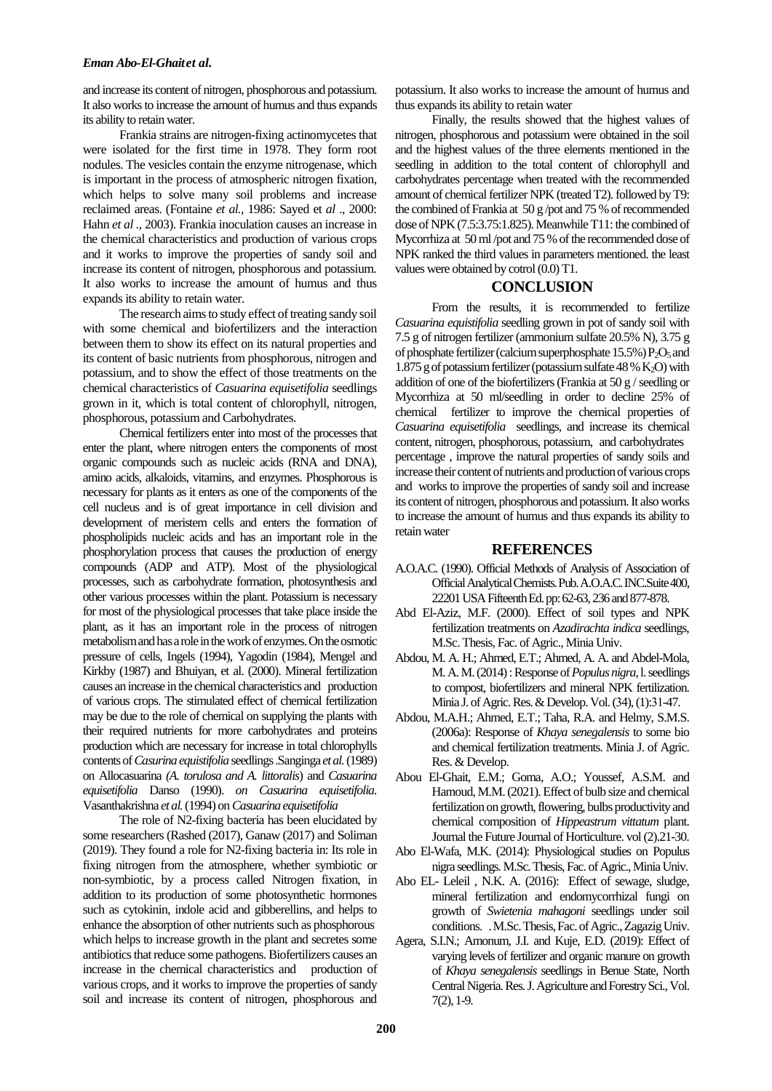and increase its content of nitrogen, phosphorous and potassium. It also works to increase the amount of humus and thus expands its ability to retain water.

Frankia strains are nitrogen-fixing actinomycetes that were isolated for the first time in 1978. They form root nodules. The vesicles contain the enzyme nitrogenase, which is important in the process of atmospheric nitrogen fixation*,* which helps to solve many soil problems and increase reclaimed areas. (Fontaine *et al.*, 1986: Sayed et *al* ., 2000: Hahn *et al .,* 2003). Frankia inoculation causes an increase in the chemical characteristics and production of various crops and it works to improve the properties of sandy soil and increase its content of nitrogen, phosphorous and potassium. It also works to increase the amount of humus and thus expands its ability to retain water.

The research aims to study effect of treating sandy soil with some chemical and biofertilizers and the interaction between them to show its effect on its natural properties and its content of basic nutrients from phosphorous, nitrogen and potassium, and to show the effect of those treatments on the chemical characteristics of *Casuarina equisetifolia* seedlings grown in it, which is total content of chlorophyll, nitrogen, phosphorous, potassium and Carbohydrates.

Chemical fertilizers enter into most of the processes that enter the plant, where nitrogen enters the components of most organic compounds such as nucleic acids (RNA and DNA), amino acids, alkaloids, vitamins, and enzymes. Phosphorous is necessary for plants as it enters as one of the components of the cell nucleus and is of great importance in cell division and development of meristem cells and enters the formation of phospholipids nucleic acids and has an important role in the phosphorylation process that causes the production of energy compounds (ADP and ATP). Most of the physiological processes, such as carbohydrate formation, photosynthesis and other various processes within the plant. Potassium is necessary for most of the physiological processes that take place inside the plant, as it has an important role in the process of nitrogen metabolism and has a role in the work of enzymes. On the osmotic pressure of cells*,* Ingels (1994), Yagodin (1984), Mengel and Kirkby (1987) and Bhuiyan, et al. (2000). Mineral fertilization causes an increase in the chemical characteristics and production of various crops. The stimulated effect of chemical fertilization may be due to the role of chemical on supplying the plants with their required nutrients for more carbohydrates and proteins production which are necessary for increase in total chlorophylls contents of *Casurina equistifolia* seedlings .Sanginga *et al.*(1989) on Allocasuarina *(A. torulosa and A. littoralis*) and *Casuarina equisetifolia* Danso (1990). *on Casuarina equisetifolia.*  Vasanthakrishna *et al.*(1994) on *Casuarina equisetifolia*

The role of N2-fixing bacteria has been elucidated by some researchers (Rashed (2017), Ganaw (2017) and Soliman (2019). They found a role for N2-fixing bacteria in: Its role in fixing nitrogen from the atmosphere, whether symbiotic or non-symbiotic, by a process called Nitrogen fixation, in addition to its production of some photosynthetic hormones such as cytokinin, indole acid and gibberellins, and helps to enhance the absorption of other nutrients such as phosphorous which helps to increase growth in the plant and secretes some antibiotics that reduce some pathogens. Biofertilizers causes an increase in the chemical characteristics and production of various crops, and it works to improve the properties of sandy soil and increase its content of nitrogen, phosphorous and

potassium. It also works to increase the amount of humus and thus expands its ability to retain water

Finally, the results showed that the highest values of nitrogen, phosphorous and potassium were obtained in the soil and the highest values of the three elements mentioned in the seedling in addition to the total content of chlorophyll and carbohydrates percentage when treated with the recommended amount of chemical fertilizer NPK (treated T2). followed by T9: the combined of Frankia at 50 g /pot and 75 % of recommended dose of NPK (7.5:3.75:1.825). Meanwhile T11: the combined of Mycorrhiza at 50 ml /pot and 75 % of the recommended dose of NPK ranked the third values in parameters mentioned. the least values were obtained by cotrol (0.0) T1.

## **CONCLUSION**

From the results, it is recommended to fertilize *Casuarina equistifolia* seedling grown in pot of sandy soil with 7.5 g of nitrogen fertilizer (ammonium sulfate 20.5% N), 3.75 g of phosphate fertilizer (calcium superphosphate  $15.5\%$ )  $P_2O_5$  and 1.875 g of potassium fertilizer (potassium sulfate  $48\%$  K<sub>2</sub>O) with addition of one of the biofertilizers (Frankia at 50 g / seedling or Mycorrhiza at 50 ml/seedling in order to decline 25% of chemical fertilizer to improve the chemical properties of *Casuarina equisetifolia* seedlings, and increase its chemical content, nitrogen, phosphorous, potassium, and carbohydrates percentage , improve the natural properties of sandy soils and increase their content of nutrients and production of various crops and works to improve the properties of sandy soil and increase its content of nitrogen, phosphorous and potassium. It also works to increase the amount of humus and thus expands its ability to retain water

#### **REFERENCES**

- A.O.A.C. (1990). Official Methods of Analysis of Association of Official Analytical Chemists. Pub. A.O.A.C. INC.Suite400, 22201 USA Fifteenth Ed. pp: 62-63, 236 and 877-878.
- Abd El-Aziz, M.F. (2000). Effect of soil types and NPK fertilization treatments on *Azadirachta indica* seedlings, M.Sc. Thesis, Fac. of Agric., Minia Univ.
- Abdou, M. A. H.; Ahmed, E.T.; Ahmed, A. A. and Abdel-Mola, M. A. M. (2014) : Response of *Populus nigra*, l. seedlings to compost, biofertilizers and mineral NPK fertilization. Minia J. of Agric. Res. & Develop. Vol. (34), (1):31-47.
- Abdou, M.A.H.; Ahmed, E.T.; Taha, R.A. and Helmy, S.M.S. (2006a): Response of *Khaya senegalensis* to some bio and chemical fertilization treatments. Minia J. of Agric. Res. & Develop.
- Abou El-Ghait, E.M.; Goma, A.O.; Youssef, A.S.M. and Hamoud, M.M.(2021).Effect of bulb size and chemical fertilization on growth, flowering, bulbs productivity and chemical composition of *Hippeastrum vittatum* plant. Journal the Future Journal of Horticulture. vol(2).21-30.
- Abo El-Wafa, M.K. (2014): Physiological studies on Populus nigra seedlings. M.Sc. Thesis, Fac. of Agric., Minia Univ.
- Abo EL- Leleil , N.K. A. (2016): Effect of sewage, sludge, mineral fertilization and endomycorrhizal fungi on growth of *Swietenia mahagoni* seedlings under soil conditions. . M.Sc. Thesis, Fac. of Agric., Zagazig Univ.
- Agera, S.I.N.; Amonum, J.I. and Kuje, E.D. (2019): Effect of varying levels of fertilizer and organic manure on growth of *Khaya senegalensis* seedlings in Benue State, North Central Nigeria. Res. J. Agriculture and Forestry Sci., Vol. 7(2), 1-9.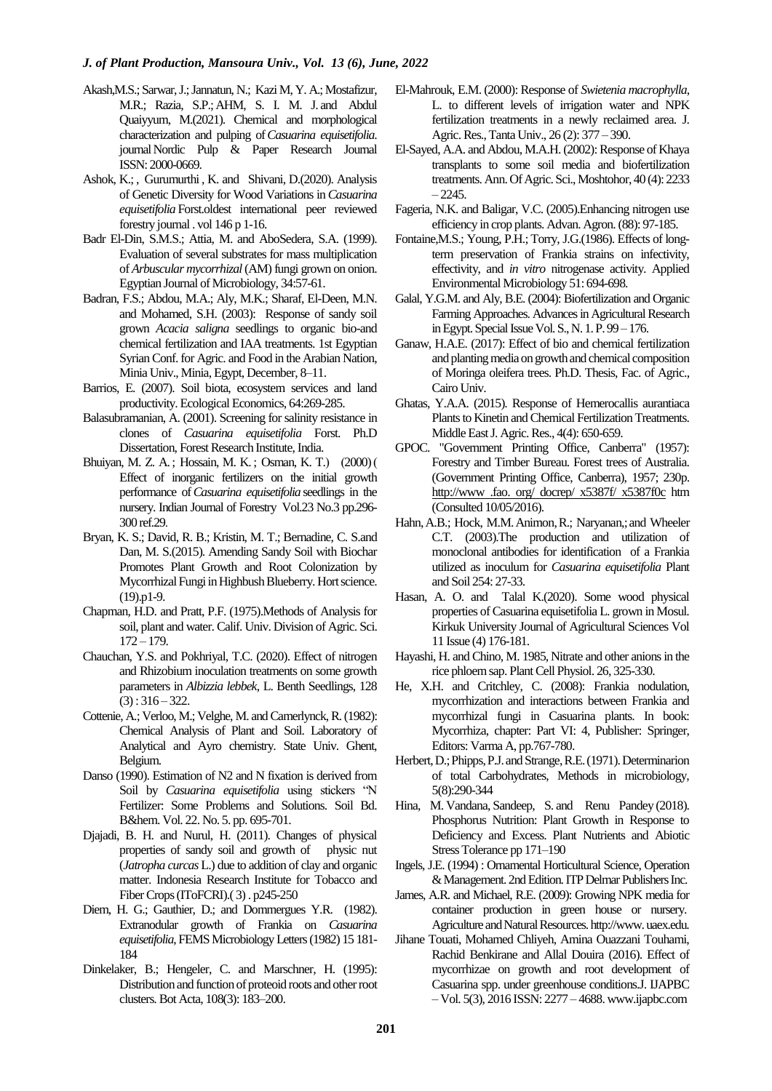- Akash,M.S.; Sarwar, J.; Jannatun, N.; Kazi M, Y. A.; Mostafizur, M.R.; Razia, S.P.;AHM, S. I. M. J. and Abdul Quaiyyum, M.(2021). Chemical and morphological characterization and pulping of*Casuarina equisetifolia*. journa[lNordic Pulp](https://www.degruyter.com/journal/key/npprj/html) [& Paper Research Journal](https://www.degruyter.com/journal/key/npprj/html) ISSN: 2000-0669.
- [Ashok, K.;](http://indianforester.in/index.php/indianforester/search/authors/view?firstName=Ashok&middleName=&lastName=Kumar&affiliation=Forest%20Research%20Institute,%20Kaulagarh%20Road,Dehradun%20(Uttarakhand)&country=IN) , [Gurumurthi](http://indianforester.in/index.php/indianforester/search/authors/view?firstName=K.&middleName=&lastName=Gurumurthi&affiliation=Institute%20of%20Forest%20Genetics%20and%20Tree%20Breeding,%20R.%20S.%20Puram,%20Forest%20Campus,%20Coimbatore%20641%20002,%20Tamil%20Nadu&country=IN) , K. and Shivani, D.(2020). Analysis of Genetic Diversity for Wood Variations in*Casuarina equisetifolia* Forst.oldest international peer reviewed forestry journal . vol 146 p 1-16.
- Badr El-Din, S.M.S.; Attia, M. and AboSedera, S.A. (1999). Evaluation of several substrates for mass multiplication of *Arbuscular mycorrhizal*(AM) fungi grown on onion. Egyptian Journal of Microbiology, 34:57-61.
- Badran, F.S.; Abdou, M.A.; Aly, M.K.; Sharaf, El-Deen, M.N. and Mohamed, S.H. (2003): Response of sandy soil grown *Acacia saligna* seedlings to organic bio-and chemical fertilization and IAA treatments. 1st Egyptian Syrian Conf. for Agric. and Food in the Arabian Nation, Minia Univ., Minia, Egypt, December, 8–11.
- Barrios, E. (2007). Soil biota, ecosystem services and land productivity. Ecological Economics, 64:269-285.
- Balasubramanian, A. (2001). Screening for salinity resistance in clones of *Casuarina equisetifolia* Forst. Ph.D Dissertation, Forest Research Institute, India.
- [Bhuiyan, M. Z. A.;](https://www.cabdirect.org/cabdirect/search/?q=au%3a%22Bhuiyan%2c+M.+Z.+A.%22) [Hossain, M. K.](https://www.cabdirect.org/cabdirect/search/?q=au%3a%22Hossain%2c+M.+K.%22); Osman, K. T.) (2000) ( Effect of inorganic fertilizers on the initial growth performance of*Casuarina equisetifolia* seedlings in the nursery[. Indian Journal of Forestry](https://www.cabdirect.org/cabdirect/search/?q=do%3a%22Indian+Journal+of+Forestry%22) Vol.23 No.3 pp.296- 300 ref.29.
- Bryan, K. S.; David, R. B.; Kristin, M. T.; Bernadine, C. S.and Dan, M. S.(2015). Amending Sandy Soil with Biochar Promotes Plant Growth and Root Colonization by Mycorrhizal Fungi in Highbush Blueberry. Hort science. (19).p1-9.
- Chapman, H.D. and Pratt, P.F. (1975).Methods of Analysis for soil, plant and water. Calif. Univ. Division of Agric. Sci. 172 – 179.
- Chauchan, Y.S. and Pokhriyal, T.C. (2020). Effect of nitrogen and Rhizobium inoculation treatments on some growth parameters in *Albizzia lebbek*, L. Benth Seedlings, 128  $(3)$ : 316 – 322.
- Cottenie, A.; Verloo, M.; Velghe, M. and Camerlynck, R. (1982): Chemical Analysis of Plant and Soil. Laboratory of Analytical and Ayro chemistry. State Univ. Ghent, Belgium.
- Danso (1990). Estimation of N2 and N fixation is derived from Soil by *Casuarina equisetifolia* using stickers "N Fertilizer: Some Problems and Solutions. Soil Bd. B&hem. Vol. 22. No. 5. pp. 695-701.
- Djajadi, B. H. and Nurul, H. (2011). Changes of physical properties of sandy soil and growth of physic nut (*Jatropha curcas* L.) due to addition of clay and organic matter. Indonesia Research Institute for Tobacco and Fiber Crops (IToFCRI).( 3) . p245-250
- Diem, H. G.; Gauthier, D.; and Dommergues Y.R. (1982). Extranodular growth of Frankia on *Casuarina equisetifolia*, FEMS Microbiology Letters (1982) 15 181- 184
- Dinkelaker, B.; Hengeler, C. and Marschner, H. (1995): Distribution and function of proteoid roots and other root clusters. Bot Acta, 108(3): 183–200.
- El-Mahrouk, E.M. (2000): Response of *Swietenia macrophylla*, L. to different levels of irrigation water and NPK fertilization treatments in a newly reclaimed area. J. Agric. Res., Tanta Univ., 26 (2): 377 – 390.
- El-Sayed, A.A. and Abdou, M.A.H. (2002): Response of Khaya transplants to some soil media and biofertilization treatments. Ann. Of Agric. Sci., Moshtohor, 40 (4): 2233  $-2245.$
- Fageria, N.K. and Baligar, V.C. (2005).Enhancing nitrogen use efficiency in crop plants. Advan. Agron. (88): 97-185.
- Fontaine,M.S.; Young, P.H.; Torry, J.G.(1986). Effects of longterm preservation of Frankia strains on infectivity, effectivity, and *in vitro* nitrogenase activity. Applied Environmental Microbiology 51: 694-698.
- Galal, Y.G.M. and Aly, B.E. (2004): Biofertilization and Organic Farming Approaches. Advances in Agricultural Research in Egypt. Special Issue Vol. S., N. 1. P. 99 – 176.
- Ganaw, H.A.E. (2017): Effect of bio and chemical fertilization and planting media on growth and chemical composition of Moringa oleifera trees. Ph.D. Thesis, Fac. of Agric., Cairo Univ.
- Ghatas, Y.A.A. (2015). Response of Hemerocallis aurantiaca Plants to Kinetin and Chemical Fertilization Treatments. Middle East J. Agric. Res., 4(4): 650-659.
- GPOC. "Government Printing Office, Canberra" (1957): Forestry and Timber Bureau. Forest trees of Australia. (Government Printing Office, Canberra), 1957; 230p. http://www .fao. org/ docrep/ x5387f/ x5387f0c htm (Consulted 10/05/2016).
- Hahn, A.B.; Hock, M.M. Animon, R.; Naryanan,; and Wheeler C.T. (2003).The production and utilization of monoclonal antibodies for identification of a Frankia utilized as inoculum for *Casuarina equisetifolia* Plant and Soil 254: 27-33.
- [Hasan,](https://www.iasj.net/iasj/search?query=au:%22Omaima%20Abdulsamad%20Hasan%22) A. O. and Talal K.(2020). Some wood physical properties of Casuarina equisetifolia L. grown in Mosul. Kirkuk University Journal of Agricultural Sciences Vol 11 Issue (4) 176-181.
- Hayashi, H. and Chino, M. 1985, Nitrate and other anions in the rice phloem sap. Plant Cell Physiol. 26, 325-330.
- He, X.H. and Critchley, C. (2008): Frankia nodulation, mycorrhization and interactions between Frankia and mycorrhizal fungi in Casuarina plants. In book: Mycorrhiza, chapter: Part VI: 4, Publisher: Springer, Editors: Varma A, pp.767-780.
- Herbert, D.; Phipps, P.J. and Strange, R.E.(1971). Determinarion of total Carbohydrates, Methods in microbiology, 5(8):290-344
- [Hina, M.](https://link.springer.com/chapter/10.1007/978-981-10-9044-8_7#auth-Hina-Malhotra) [Vandana,](https://link.springer.com/chapter/10.1007/978-981-10-9044-8_7#auth--Vandana) [Sandeep, S.](https://link.springer.com/chapter/10.1007/978-981-10-9044-8_7#auth-Sandeep-Sharma) and [Renu Pandey](https://link.springer.com/chapter/10.1007/978-981-10-9044-8_7#auth-Renu-Pandey) (2018). Phosphorus Nutrition: Plant Growth in Response to Deficiency and Excess. [Plant Nutrients and Abiotic](https://link.springer.com/book/10.1007/978-981-10-9044-8)  [Stress Tolerance](https://link.springer.com/book/10.1007/978-981-10-9044-8) pp 171–190
- Ingels, J.E. (1994) : Ornamental Horticultural Science, Operation & Management. 2nd Edition. ITP Delmar Publishers Inc.
- James, A.R. and Michael, R.E. (2009): Growing NPK media for container production in green house or nursery. Agriculture and Natural Resources. http://www.uaex.edu.
- Jihane Touati, Mohamed Chliyeh, Amina Ouazzani Touhami, Rachid Benkirane and Allal Douira (2016). Effect of mycorrhizae on growth and root development of Casuarina spp. under greenhouse conditions.J. IJAPBC – Vol. 5(3), 2016 ISSN: 2277 – 4688. www.ijapbc.com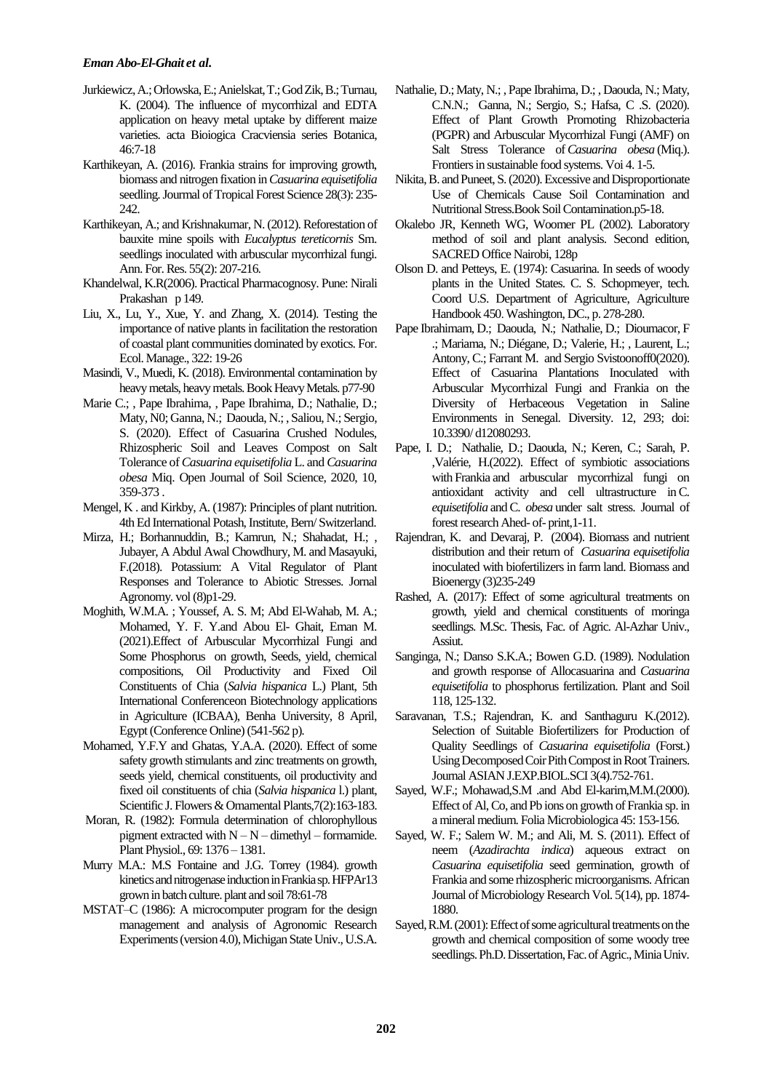- Jurkiewicz, A.; Orlowska, E.; Anielskat, T.; GodZik, B.; Turnau, K. (2004). The influence of mycorrhizal and EDTA application on heavy metal uptake by different maize varieties. acta Bioiogica Cracviensia series Botanica, 46:7-18
- Karthikeyan, A. (2016). Frankia strains for improving growth, biomass and nitrogen fixation in *Casuarina equisetifolia* seedling. Journal of Tropical Forest Science 28(3): 235-242.
- Karthikeyan, A.; and Krishnakumar, N. (2012). Reforestation of bauxite mine spoils with *Eucalyptus tereticornis* Sm. seedlings inoculated with arbuscular mycorrhizal fungi. Ann. For. Res. 55(2): 207-216.
- Khandelwal, K.R(2006). Practical Pharmacognosy. Pune: Nirali Prakashan p 149.
- Liu, X., Lu, Y., Xue, Y. and Zhang, X. (2014). Testing the importance of native plants in facilitation the restoration of coastal plant communities dominated by exotics. For. Ecol. Manage., 322: 19-26
- Masindi, V., Muedi, K. (2018). Environmental contamination by heavy metals, heavy metals[. Book](https://www.intechopen.com/books) [Heavy Metals.](https://www.intechopen.com/books/6534) p77-90
- Marie C.; , Pape Ibrahima, , Pape Ibrahima, D.; Nathalie, D.; Maty, N0; Ganna, N.; Daouda, N.; , Saliou, N.; Sergio, S. (2020). Effect of Casuarina Crushed Nodules, Rhizospheric Soil and Leaves Compost on Salt Tolerance of *Casuarina equisetifolia* L. and *Casuarina obesa* Miq. Open Journal of Soil Science, 2020, 10, 359-373 .
- Mengel, K . and Kirkby, A. (1987): Principles of plant nutrition. 4th Ed International Potash, Institute, Bern/ Switzerland.
- Mirza, H.; Borhannuddin, B.; Kamrun, N.; Shahadat, H.; , Jubayer, A Abdul Awal Chowdhury, M. and Masayuki, F.(2018). Potassium: A Vital Regulator of Plant Responses and Tolerance to Abiotic Stresses. Jornal Agronomy. vol (8)p1-29.
- Moghith, W.M.A. ; Youssef, A. S. M; Abd El-Wahab, M. A.; Mohamed, Y. F. Y.and Abou El- Ghait, Eman M. (2021).Effect of Arbuscular Mycorrhizal Fungi and Some Phosphorus on growth, Seeds, yield, chemical compositions, Oil Productivity and Fixed Oil Constituents of Chia (*Salvia hispanica* L.) Plant, 5th International Conferenceon Biotechnology applications in Agriculture (ICBAA), Benha University, 8 April, Egypt (Conference Online) (541-562 p).
- Mohamed, Y.F.Y and Ghatas, Y.A.A. (2020). Effect of some safety growth stimulants and zinc treatments on growth, seeds yield, chemical constituents, oil productivity and fixed oil constituents of chia (*Salvia hispanica* l.) plant, Scientific J. Flowers & Omamental Plants,7(2):163-183.
- Moran, R. (1982): Formula determination of chlorophyllous pigment extracted with  $N - N -$  dimethyl – formamide. Plant Physiol., 69: 1376 – 1381.
- Murry M.A.: M.S Fontaine and J.G. Torrey (1984). growth kinetics and nitrogenase induction in Frankiasp.HFPAr13 grown in batch culture. plant and soil 78:61-78
- MSTAT–C (1986): A microcomputer program for the design management and analysis of Agronomic Research Experiments (version 4.0), Michigan State Univ., U.S.A.
- Nathalie, D.; Maty, N.; , Pape Ibrahima, D.; , Daouda, N.; Maty, C.N.N.; Ganna, N.; Sergio, S.; Hafsa, C .S. (2020). Effect of Plant Growth Promoting Rhizobacteria (PGPR) and Arbuscular Mycorrhizal Fungi (AMF) on Salt Stress Tolerance of*Casuarina obesa* (Miq.). Frontiers in sustainable food systems. Voi 4. 1-5.
- Nikita, B. and Puneet, S. (2020). Excessive and Disproportionate Use of Chemicals Cause Soil Contamination and Nutritional Stress.Boo[k Soil Contamination.](https://www.intechopen.com/books/9843)p5-18.
- Okalebo JR, Kenneth WG, Woomer PL (2002). Laboratory method of soil and plant analysis. Second edition, SACRED Office Nairobi, 128p
- Olson D. and Petteys, E. (1974): Casuarina. In seeds of woody plants in the United States. C. S. Schopmeyer, tech. Coord U.S. Department of Agriculture, Agriculture Handbook 450.Washington, DC., p. 278-280.
- Pape Ibrahimam, D.; Daouda, N.; Nathalie, D.; Dioumacor, F .; Mariama, N.; Diégane, D.; Valerie, H.; , Laurent, L.; Antony, C.; Farrant M. and Sergio Svistoonoff0(2020). Effect of Casuarina Plantations Inoculated with Arbuscular Mycorrhizal Fungi and Frankia on the Diversity of Herbaceous Vegetation in Saline Environments in Senegal. Diversity. 12, 293; doi: 10.3390/ d12080293.
- [Pape, I. D.;](https://www.tandfonline.com/author/Djighaly%2C+Pape+Ibrahima) [Nathalie, D.;](https://www.tandfonline.com/author/Diagne%2C+Nathalie) [Daouda, N.;](https://www.tandfonline.com/author/Ngom%2C+Daouda) [Keren, C.;](https://www.tandfonline.com/author/Cooper%2C+Keren) [Sarah, P.](https://www.tandfonline.com/author/Pignoly%2C+Sarah) [,Valérie, H.\(](https://www.tandfonline.com/author/Hocher%2C+Val%C3%A9rie)2022). Effect of symbiotic associations with Frankia and arbuscular mycorrhizal fungi on antioxidant activity and cell ultrastructure inC. *equisetifolia* andC. *obesa* under salt stress. Journal of forest research Ahed- of- print,1-11.
- Rajendran, K. and Devaraj, P. (2004). Biomass and nutrient distribution and their return of *Casuarina equisetifolia* inoculated with biofertilizers in farm land. Biomass and Bioenergy (3)235-249
- Rashed, A. (2017): Effect of some agricultural treatments on growth, yield and chemical constituents of moringa seedlings. M.Sc. Thesis, Fac. of Agric. Al-Azhar Univ., Assiut.
- Sanginga, N.; Danso S.K.A.; Bowen G.D. (1989). Nodulation and growth response of Allocasuarina and *Casuarina equisetifolia* to phosphorus fertilization. Plant and Soil 118, 125-132.
- Saravanan, T.S.; Rajendran, K. and Santhaguru K.(2012). Selection of Suitable Biofertilizers for Production of Quality Seedlings of *Casuarina equisetifolia* (Forst.) Using Decomposed Coir Pith Compost in Root Trainers. Journal ASIAN J.EXP.BIOL.SCI 3(4).752-761.
- Sayed, W.F.; Mohawad,S.M .and Abd El-karim,M.M.(2000). Effect of Al,Co, and Pb ions on growth of Frankia sp. in a mineral medium. Folia Microbiologica 45: 153-156.
- Sayed, W. F.; Salem W. M.; and Ali, M. S. (2011). Effect of neem (*Azadirachta indica*) aqueous extract on *Casuarina equisetifolia* seed germination, growth of Frankia and some rhizospheric microorganisms. African Journal of Microbiology Research Vol. 5(14), pp. 1874- 1880.
- Sayed, R.M. (2001): Effect of some agricultural treatments on the growth and chemical composition of some woody tree seedlings. Ph.D. Dissertation, Fac. of Agric., Minia Univ.